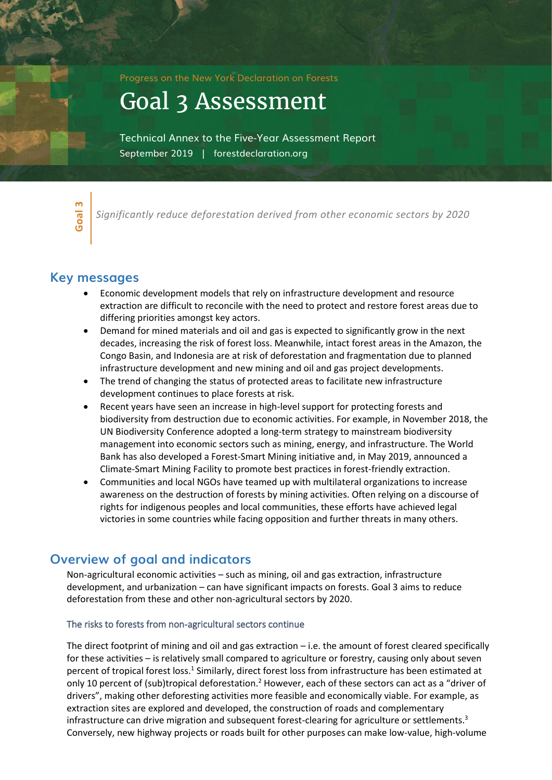Progress on the New York Declaration on Forests

Goal 3 Assessment

Technical Annex to the Five-Year Assessment Report September 2019 | forestdeclaration.org

**Goal** <u>ო</u>

*Significantly reduce deforestation derived from other economic sectors by 2020*

## **Key messages**

- Economic development models that rely on infrastructure development and resource extraction are difficult to reconcile with the need to protect and restore forest areas due to differing priorities amongst key actors.
- Demand for mined materials and oil and gas is expected to significantly grow in the next decades, increasing the risk of forest loss. Meanwhile, intact forest areas in the Amazon, the Congo Basin, and Indonesia are at risk of deforestation and fragmentation due to planned infrastructure development and new mining and oil and gas project developments.
- The trend of changing the status of protected areas to facilitate new infrastructure development continues to place forests at risk.
- Recent years have seen an increase in high-level support for protecting forests and biodiversity from destruction due to economic activities. For example, in November 2018, the UN Biodiversity Conference adopted a long-term strategy to mainstream biodiversity management into economic sectors such as mining, energy, and infrastructure. The World Bank has also developed a Forest-Smart Mining initiative and, in May 2019, announced a Climate-Smart Mining Facility to promote best practices in forest-friendly extraction.
- Communities and local NGOs have teamed up with multilateral organizations to increase awareness on the destruction of forests by mining activities. Often relying on a discourse of rights for indigenous peoples and local communities, these efforts have achieved legal victories in some countries while facing opposition and further threats in many others.

## **Overview of goal and indicators**

Non-agricultural economic activities – such as mining, oil and gas extraction, infrastructure development, and urbanization – can have significant impacts on forests. Goal 3 aims to reduce deforestation from these and other non-agricultural sectors by 2020.

#### The risks to forests from non-agricultural sectors continue

The direct footprint of mining and oil and gas extraction – i.e. the amount of forest cleared specifically for these activities – is relatively small compared to agriculture or forestry, causing only about seven percent of tropical forest loss.<sup>1</sup> Similarly, direct forest loss from infrastructure has been estimated at only 10 percent of (sub)tropical deforestation.<sup>2</sup> However, each of these sectors can act as a "driver of drivers", making other deforesting activities more feasible and economically viable. For example, as extraction sites are explored and developed, the construction of roads and complementary infrastructure can drive migration and subsequent forest-clearing for agriculture or settlements.<sup>3</sup> Conversely, new highway projects or roads built for other purposes can make low-value, high-volume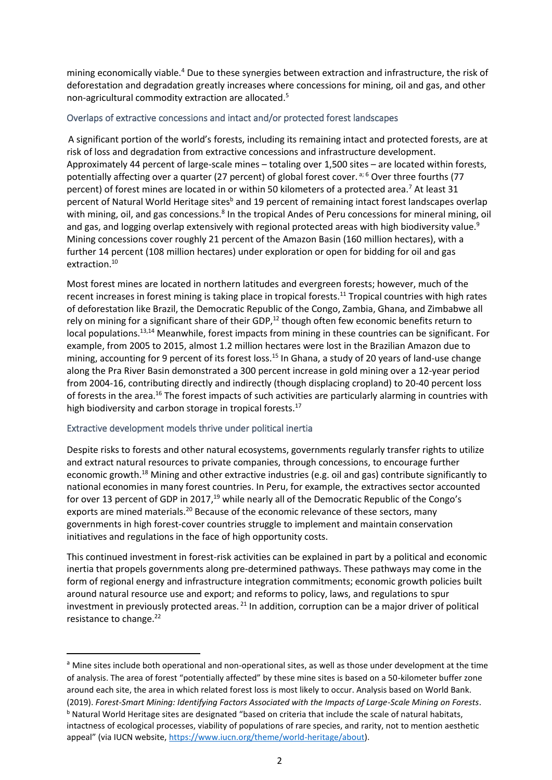mining economically viable.<sup>4</sup> Due to these synergies between extraction and infrastructure, the risk of deforestation and degradation greatly increases where concessions for mining, oil and gas, and other non-agricultural commodity extraction are allocated. 5

## Overlaps of extractive concessions and intact and/or protected forest landscapes

A significant portion of the world's forests, including its remaining intact and protected forests, are at risk of loss and degradation from extractive concessions and infrastructure development. Approximately 44 percent of large-scale mines – totaling over 1,500 sites – are located within forests, potentially affecting over a quarter (27 percent) of global forest cover.<sup>a; 6</sup> Over three fourths (77 percent) of forest mines are located in or within 50 kilometers of a protected area.<sup>7</sup> At least 31 percent of Natural World Heritage sites<sup>b</sup> and 19 percent of remaining intact forest landscapes overlap with mining, oil, and gas concessions.<sup>8</sup> In the tropical Andes of Peru concessions for mineral mining, oil and gas, and logging overlap extensively with regional protected areas with high biodiversity value.<sup>9</sup> Mining concessions cover roughly 21 percent of the Amazon Basin (160 million hectares), with a further 14 percent (108 million hectares) under exploration or open for bidding for oil and gas extraction.<sup>10</sup>

Most forest mines are located in northern latitudes and evergreen forests; however, much of the recent increases in forest mining is taking place in tropical forests.<sup>11</sup> Tropical countries with high rates of deforestation like Brazil, the Democratic Republic of the Congo, Zambia, Ghana, and Zimbabwe all rely on mining for a significant share of their GDP,<sup>12</sup> though often few economic benefits return to local populations.<sup>13,14</sup> Meanwhile, forest impacts from mining in these countries can be significant. For example, from 2005 to 2015, almost 1.2 million hectares were lost in the Brazilian Amazon due to mining, accounting for 9 percent of its forest loss.<sup>15</sup> In Ghana, a study of 20 years of land-use change along the Pra River Basin demonstrated a 300 percent increase in gold mining over a 12-year period from 2004-16, contributing directly and indirectly (though displacing cropland) to 20-40 percent loss of forests in the area.<sup>16</sup> The forest impacts of such activities are particularly alarming in countries with high biodiversity and carbon storage in tropical forests.<sup>17</sup>

## Extractive development models thrive under political inertia

Despite risks to forests and other natural ecosystems, governments regularly transfer rights to utilize and extract natural resources to private companies, through concessions, to encourage further economic growth.<sup>18</sup> Mining and other extractive industries (e.g. oil and gas) contribute significantly to national economies in many forest countries. In Peru, for example, the extractives sector accounted for over 13 percent of GDP in 2017,<sup>19</sup> while nearly all of the Democratic Republic of the Congo's exports are mined materials.<sup>20</sup> Because of the economic relevance of these sectors, many governments in high forest-cover countries struggle to implement and maintain conservation initiatives and regulations in the face of high opportunity costs.

This continued investment in forest-risk activities can be explained in part by a political and economic inertia that propels governments along pre-determined pathways. These pathways may come in the form of regional energy and infrastructure integration commitments; economic growth policies built around natural resource use and export; and reforms to policy, laws, and regulations to spur investment in previously protected areas. <sup>21</sup> In addition, corruption can be a major driver of political resistance to change.<sup>22</sup>

<sup>&</sup>lt;sup>a</sup> Mine sites include both operational and non-operational sites, as well as those under development at the time of analysis. The area of forest "potentially affected" by these mine sites is based on a 50-kilometer buffer zone around each site, the area in which related forest loss is most likely to occur. Analysis based on World Bank. (2019). *Forest-Smart Mining: Identifying Factors Associated with the Impacts of Large-Scale Mining on Forests*. b Natural World Heritage sites are designated "based on criteria that include the scale of natural habitats, intactness of ecological processes, viability of populations of rare species, and rarity, not to mention aesthetic appeal" (via IUCN website, [https://www.iucn.org/theme/world-heritage/about\)](https://www.iucn.org/theme/world-heritage/about).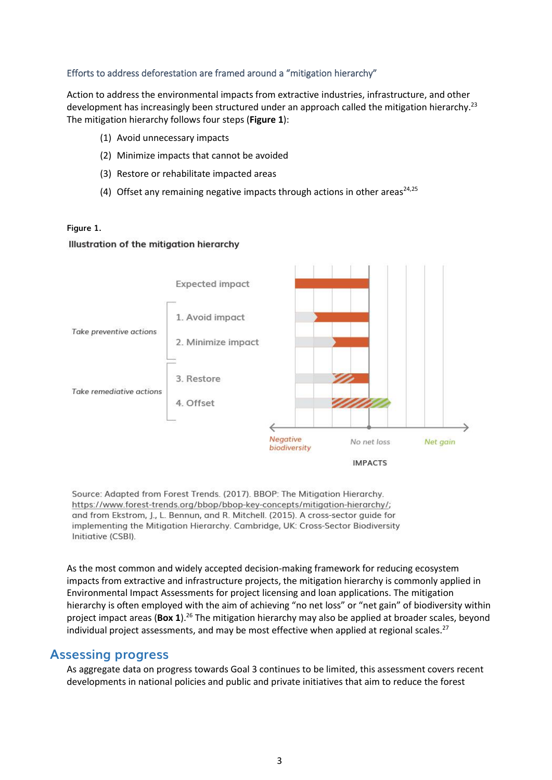## Efforts to address deforestation are framed around a "mitigation hierarchy"

Action to address the environmental impacts from extractive industries, infrastructure, and other development has increasingly been structured under an approach called the mitigation hierarchy.<sup>23</sup> The mitigation hierarchy follows four steps (**Figure 1**):

- (1) Avoid unnecessary impacts
- (2) Minimize impacts that cannot be avoided
- (3) Restore or rehabilitate impacted areas
- (4) Offset any remaining negative impacts through actions in other areas<sup>24,25</sup>

#### **Figure 1.**

### Illustration of the mitigation hierarchy



Source: Adapted from Forest Trends. (2017). BBOP: The Mitigation Hierarchy. https://www.forest-trends.org/bbop/bbop-key-concepts/mitigation-hierarchy/; and from Ekstrom, J., L. Bennun, and R. Mitchell. (2015). A cross-sector guide for implementing the Mitigation Hierarchy. Cambridge, UK: Cross-Sector Biodiversity Initiative (CSBI).

As the most common and widely accepted decision-making framework for reducing ecosystem impacts from extractive and infrastructure projects, the mitigation hierarchy is commonly applied in Environmental Impact Assessments for project licensing and loan applications. The mitigation hierarchy is often employed with the aim of achieving "no net loss" or "net gain" of biodiversity within project impact areas (**Box 1**).<sup>26</sup> The mitigation hierarchy may also be applied at broader scales, beyond individual project assessments, and may be most effective when applied at regional scales. $^{27}$ 

## **Assessing progress**

As aggregate data on progress towards Goal 3 continues to be limited, this assessment covers recent developments in national policies and public and private initiatives that aim to reduce the forest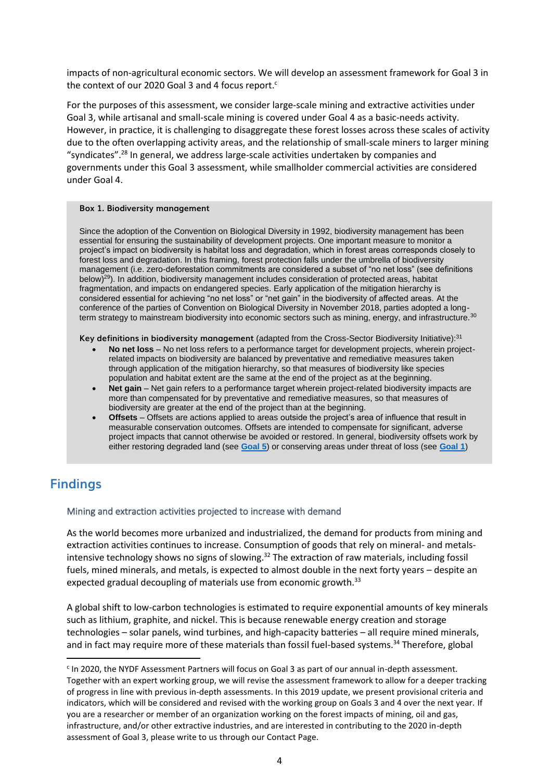impacts of non-agricultural economic sectors. We will develop an assessment framework for Goal 3 in the context of our 2020 Goal 3 and 4 focus report. $c$ 

For the purposes of this assessment, we consider large-scale mining and extractive activities under Goal 3, while artisanal and small-scale mining is covered under Goal 4 as a basic-needs activity. However, in practice, it is challenging to disaggregate these forest losses across these scales of activity due to the often overlapping activity areas, and the relationship of small-scale miners to larger mining "syndicates".<sup>28</sup> In general, we address large-scale activities undertaken by companies and governments under this Goal 3 assessment, while smallholder commercial activities are considered under Goal 4.

#### **Box 1. Biodiversity management**

Since the adoption of the Convention on Biological Diversity in 1992, biodiversity management has been essential for ensuring the sustainability of development projects. One important measure to monitor a project's impact on biodiversity is habitat loss and degradation, which in forest areas corresponds closely to forest loss and degradation. In this framing, forest protection falls under the umbrella of biodiversity management (i.e. zero-deforestation commitments are considered a subset of "no net loss" (see definitions below)<sup>29</sup>). In addition, biodiversity management includes consideration of protected areas, habitat fragmentation, and impacts on endangered species. Early application of the mitigation hierarchy is considered essential for achieving "no net loss" or "net gain" in the biodiversity of affected areas. At the conference of the parties of Convention on Biological Diversity in November 2018, parties adopted a longterm strategy to mainstream biodiversity into economic sectors such as mining, energy, and infrastructure.<sup>30</sup>

**Key definitions in biodiversity management** (adapted from the Cross-Sector Biodiversity Initiative):<sup>31</sup>

- **No net loss** No net loss refers to a performance target for development projects, wherein projectrelated impacts on biodiversity are balanced by preventative and remediative measures taken through application of the mitigation hierarchy, so that measures of biodiversity like species population and habitat extent are the same at the end of the project as at the beginning.
- **Net gain** Net gain refers to a performance target wherein project-related biodiversity impacts are more than compensated for by preventative and remediative measures, so that measures of biodiversity are greater at the end of the project than at the beginning.
- **Offsets** Offsets are actions applied to areas outside the project's area of influence that result in measurable conservation outcomes. Offsets are intended to compensate for significant, adverse project impacts that cannot otherwise be avoided or restored. In general, biodiversity offsets work by either restoring degraded land (see **[Goal 5](http://www.forestdeclaration.org/goals/goal-5)**) or conserving areas under threat of loss (see **[Goal 1](http://www.forestdeclaration.org/goals/goal-1)**)

# **Findings**

#### Mining and extraction activities projected to increase with demand

As the world becomes more urbanized and industrialized, the demand for products from mining and extraction activities continues to increase. Consumption of goods that rely on mineral- and metalsintensive technology shows no signs of slowing.<sup>32</sup> The extraction of raw materials, including fossil fuels, mined minerals, and metals, is expected to almost double in the next forty years – despite an expected gradual decoupling of materials use from economic growth.<sup>33</sup>

A global shift to low-carbon technologies is estimated to require exponential amounts of key minerals such as lithium, graphite, and nickel. This is because renewable energy creation and storage technologies – solar panels, wind turbines, and high-capacity batteries – all require mined minerals, and in fact may require more of these materials than fossil fuel-based systems.<sup>34</sup> Therefore, global

<sup>&</sup>lt;sup>c</sup> In 2020, the NYDF Assessment Partners will focus on Goal 3 as part of our annual in-depth assessment. Together with an expert working group, we will revise the assessment framework to allow for a deeper tracking of progress in line with previous in-depth assessments. In this 2019 update, we present provisional criteria and indicators, which will be considered and revised with the working group on Goals 3 and 4 over the next year. If you are a researcher or member of an organization working on the forest impacts of mining, oil and gas, infrastructure, and/or other extractive industries, and are interested in contributing to the 2020 in-depth assessment of Goal 3, please write to us through our Contact Page.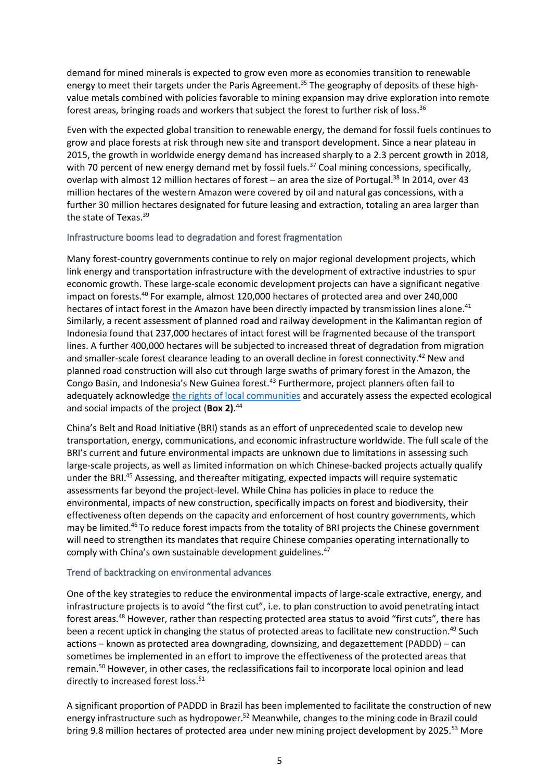demand for mined minerals is expected to grow even more as economies transition to renewable energy to meet their targets under the Paris Agreement.<sup>35</sup> The geography of deposits of these highvalue metals combined with policies favorable to mining expansion may drive exploration into remote forest areas, bringing roads and workers that subject the forest to further risk of loss.<sup>36</sup>

Even with the expected global transition to renewable energy, the demand for fossil fuels continues to grow and place forests at risk through new site and transport development. Since a near plateau in 2015, the growth in worldwide energy demand has increased sharply to a 2.3 percent growth in 2018, with 70 percent of new energy demand met by fossil fuels.<sup>37</sup> Coal mining concessions, specifically, overlap with almost 12 million hectares of forest – an area the size of Portugal.<sup>38</sup> In 2014, over 43 million hectares of the western Amazon were covered by oil and natural gas concessions, with a further 30 million hectares designated for future leasing and extraction, totaling an area larger than the state of Texas.<sup>39</sup>

## Infrastructure booms lead to degradation and forest fragmentation

Many forest-country governments continue to rely on major regional development projects, which link energy and transportation infrastructure with the development of extractive industries to spur economic growth. These large-scale economic development projects can have a significant negative impact on forests. <sup>40</sup> For example, almost 120,000 hectares of protected area and over 240,000 hectares of intact forest in the Amazon have been directly impacted by transmission lines alone.<sup>41</sup> Similarly, a recent assessment of planned road and railway development in the Kalimantan region of Indonesia found that 237,000 hectares of intact forest will be fragmented because of the transport lines. A further 400,000 hectares will be subjected to increased threat of degradation from migration and smaller-scale forest clearance leading to an overall decline in forest connectivity.<sup>42</sup> New and planned road construction will also cut through large swaths of primary forest in the Amazon, the Congo Basin, and Indonesia's New Guinea forest.<sup>43</sup> Furthermore, project planners often fail to adequately acknowledge [the rights of local communities](https://forestdeclaration.org/goals/goal-10) and accurately assess the expected ecological and social impacts of the project (**Box 2)**. 44

China's Belt and Road Initiative (BRI) stands as an effort of unprecedented scale to develop new transportation, energy, communications, and economic infrastructure worldwide. The full scale of the BRI's current and future environmental impacts are unknown due to limitations in assessing such large-scale projects, as well as limited information on which Chinese-backed projects actually qualify under the BRI.<sup>45</sup> Assessing, and thereafter mitigating, expected impacts will require systematic assessments far beyond the project-level. While China has policies in place to reduce the environmental, impacts of new construction, specifically impacts on forest and biodiversity, their effectiveness often depends on the capacity and enforcement of host country governments, which may be limited.<sup>46</sup> To reduce forest impacts from the totality of BRI projects the Chinese government will need to strengthen its mandates that require Chinese companies operating internationally to comply with China's own sustainable development guidelines.<sup>47</sup>

## Trend of backtracking on environmental advances

One of the key strategies to reduce the environmental impacts of large-scale extractive, energy, and infrastructure projects is to avoid "the first cut", i.e. to plan construction to avoid penetrating intact forest areas.<sup>48</sup> However, rather than respecting protected area status to avoid "first cuts", there has been a recent uptick in changing the status of protected areas to facilitate new construction.<sup>49</sup> Such actions – known as protected area downgrading, downsizing, and degazettement (PADDD) – can sometimes be implemented in an effort to improve the effectiveness of the protected areas that remain.<sup>50</sup> However, in other cases, the reclassifications fail to incorporate local opinion and lead directly to increased forest loss.<sup>51</sup>

A significant proportion of PADDD in Brazil has been implemented to facilitate the construction of new energy infrastructure such as hydropower.<sup>52</sup> Meanwhile, changes to the mining code in Brazil could bring 9.8 million hectares of protected area under new mining project development by 2025.<sup>53</sup> More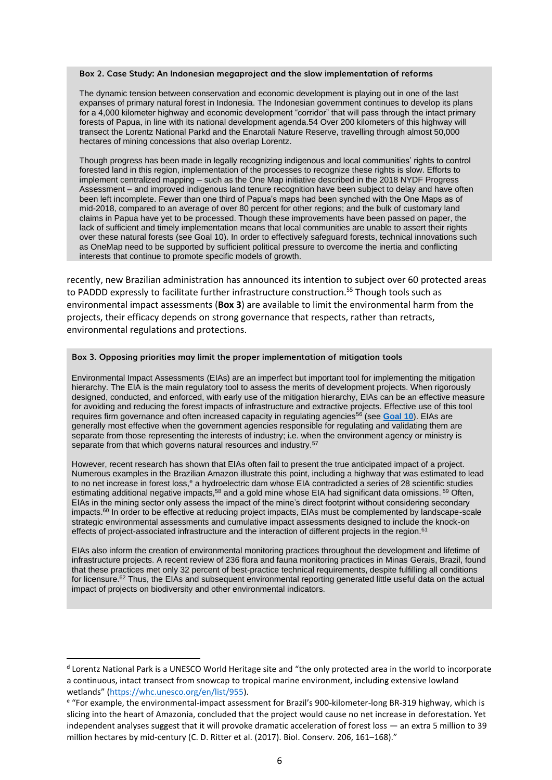#### **Box 2. Case Study: An Indonesian megaproject and the slow implementation of reforms**

The dynamic tension between conservation and economic development is playing out in one of the last expanses of primary natural forest in Indonesia. The Indonesian government continues to develop its plans for a 4,000 kilometer highway and economic development "corridor" that will pass through the intact primary forests of Papua, in line with its national development agenda.54 Over 200 kilometers of this highway will transect the Lorentz National Parkd and the Enarotali Nature Reserve, travelling through almost 50,000 hectares of mining concessions that also overlap Lorentz.

Though progress has been made in legally recognizing indigenous and local communities' rights to control forested land in this region, implementation of the processes to recognize these rights is slow. Efforts to implement centralized mapping – such as the One Map initiative described in the [2018 NYDF Progress](file:///C:/Users/erind/Documents/Erin)  [Assessment](file:///C:/Users/erind/Documents/Erin) – and improved indigenous land tenure recognition have been subject to delay and have often been left incomplete. Fewer than one third of Papua's maps had been synched with the One Maps as of mid-2018, compared to an average of over 80 percent for other regions; and the bulk of customary land claims in Papua have yet to be processed. Though these improvements have been passed on paper, the lack of sufficient and timely implementation means that local communities are unable to assert their rights over these natural forests (see Goal 10). In order to effectively safeguard forests, technical innovations such as OneMap need to be supported by sufficient political pressure to overcome the inertia and conflicting interests that continue to promote specific models of growth.

recently, new Brazilian administration has announced its intention to subject over 60 protected areas to PADDD expressly to facilitate further infrastructure construction.<sup>55</sup> Though tools such as environmental impact assessments (**Box 3**) are available to limit the environmental harm from the projects, their efficacy depends on strong governance that respects, rather than retracts, environmental regulations and protections.

#### **Box 3. Opposing priorities may limit the proper implementation of mitigation tools**

Environmental Impact Assessments (EIAs) are an imperfect but important tool for implementing the mitigation hierarchy. The EIA is the main regulatory tool to assess the merits of development projects. When rigorously designed, conducted, and enforced, with early use of the mitigation hierarchy, EIAs can be an effective measure for avoiding and reducing the forest impacts of infrastructure and extractive projects. Effective use of this tool requires firm governance and often increased capacity in regulating agencies<sup>56</sup> (see **[Goal 10](http://www.forestdeclaration.org/goals/goal-10)**). EIAs are generally most effective when the government agencies responsible for regulating and validating them are separate from those representing the interests of industry; i.e. when the environment agency or ministry is separate from that which governs natural resources and industry.<sup>57</sup>

However, recent research has shown that EIAs often fail to present the true anticipated impact of a project. Numerous examples in the Brazilian Amazon illustrate this point, including a highway that was estimated to lead to no net increase in forest loss,<sup>e</sup> a hydroelectric dam whose EIA contradicted a series of 28 scientific studies estimating additional negative impacts,<sup>58</sup> and a gold mine whose EIA had significant data omissions. <sup>59</sup> Often, EIAs in the mining sector only assess the impact of the mine's direct footprint without considering secondary impacts.<sup>60</sup> In order to be effective at reducing project impacts, EIAs must be complemented by landscape-scale strategic environmental assessments and cumulative impact assessments designed to include the knock-on effects of project-associated infrastructure and the interaction of different projects in the region.<sup>61</sup>

EIAs also inform the creation of environmental monitoring practices throughout the development and lifetime of infrastructure projects. A recent review of 236 flora and fauna monitoring practices in Minas Gerais, Brazil, found that these practices met only 32 percent of best-practice technical requirements, despite fulfilling all conditions for licensure.<sup>62</sup> Thus, the EIAs and subsequent environmental reporting generated little useful data on the actual impact of projects on biodiversity and other environmental indicators.

<sup>&</sup>lt;sup>d</sup> Lorentz National Park is a UNESCO World Heritage site and "the only protected area in the world to incorporate a continuous, intact transect from snowcap to tropical marine environment, including extensive lowland wetlands" ([https://whc.unesco.org/en/list/955\)](https://whc.unesco.org/en/list/955).

e "For example, the environmental-impact assessment for Brazil's 900-kilometer-long BR-319 highway, which is slicing into the heart of Amazonia, concluded that the project would cause no net increase in deforestation. Yet independent analyses suggest that it will provoke dramatic acceleration of forest loss — an extra 5 million to 39 million hectares by mid-century (C. D. Ritter et al. (2017). Biol. Conserv. 206, 161–168)."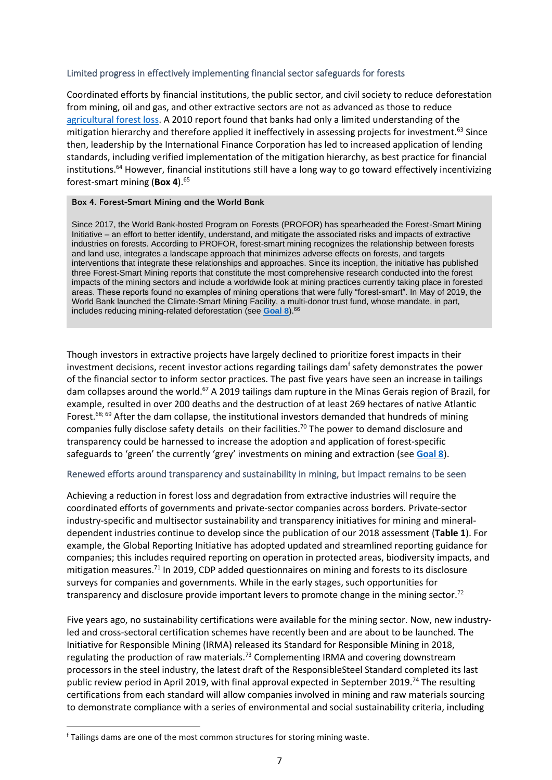### Limited progress in effectively implementing financial sector safeguards for forests

Coordinated efforts by financial institutions, the public sector, and civil society to reduce deforestation from mining, oil and gas, and other extractive sectors are not as advanced as those to reduce [agricultural forest loss.](http://www.forestdeclaration.org/goals/goal-2) A 2010 report found that banks had only a limited understanding of the mitigation hierarchy and therefore applied it ineffectively in assessing projects for investment.<sup>63</sup> Since then, leadership by the International Finance Corporation has led to increased application of lending standards, including verified implementation of the mitigation hierarchy, as best practice for financial institutions.<sup>64</sup> However, financial institutions still have a long way to go toward effectively incentivizing forest-smart mining (**Box 4**).<sup>65</sup>

### **Box 4. Forest-Smart Mining and the World Bank**

Since 2017, the World Bank-hosted Program on Forests (PROFOR) has spearheaded the Forest-Smart Mining Initiative – an effort to better identify, understand, and mitigate the associated risks and impacts of extractive industries on forests. According to PROFOR, forest-smart mining recognizes the relationship between forests and land use, integrates a landscape approach that minimizes adverse effects on forests, and targets interventions that integrate these relationships and approaches. Since its inception, the initiative has published three Forest-Smart Mining reports that constitute the most comprehensive research conducted into the forest impacts of the mining sectors and include a worldwide look at mining practices currently taking place in forested areas. These reports found no examples of mining operations that were fully "forest-smart". In May of 2019, the World Bank launched the Climate-Smart Mining Facility, a multi-donor trust fund, whose mandate, in part, includes reducing mining-related deforestation (see **[Goal 8](http://www.forestdeclaration.org/goals/goal-8)**).<sup>66</sup>

Though investors in extractive projects have largely declined to prioritize forest impacts in their investment decisions, recent investor actions regarding tailings dam<sup>f</sup> safety demonstrates the power of the financial sector to inform sector practices. The past five years have seen an increase in tailings dam collapses around the world.<sup>67</sup> A 2019 tailings dam rupture in the Minas Gerais region of Brazil, for example, resulted in over 200 deaths and the destruction of at least 269 hectares of native Atlantic Forest.<sup>68; 69</sup> After the dam collapse, the institutional investors demanded that hundreds of mining companies fully disclose safety details on their facilities. <sup>70</sup> The power to demand disclosure and transparency could be harnessed to increase the adoption and application of forest-specific safeguards to 'green' the currently 'grey' investments on mining and extraction (see **[Goal 8](http://www.forestdeclaration.org/goals/goal-8)**).

### Renewed efforts around transparency and sustainability in mining, but impact remains to be seen

Achieving a reduction in forest loss and degradation from extractive industries will require the coordinated efforts of governments and private-sector companies across borders. Private-sector industry-specific and multisector sustainability and transparency initiatives for mining and mineraldependent industries continue to develop since the publication of our 2018 assessment (**Table 1**). For example, the Global Reporting Initiative has adopted updated and streamlined reporting guidance for companies; this includes required reporting on operation in protected areas, biodiversity impacts, and mitigation measures.<sup>71</sup> In 2019, CDP added questionnaires on mining and forests to its disclosure surveys for companies and governments. While in the early stages, such opportunities for transparency and disclosure provide important levers to promote change in the mining sector.<sup>72</sup>

Five years ago, no sustainability certifications were available for the mining sector. Now, new industryled and cross-sectoral certification schemes have recently been and are about to be launched. The Initiative for Responsible Mining (IRMA) released its Standard for Responsible Mining in 2018, regulating the production of raw materials.<sup>73</sup> Complementing IRMA and covering downstream processors in the steel industry, the latest draft of the ResponsibleSteel Standard completed its last public review period in April 2019, with final approval expected in September 2019.<sup>74</sup> The resulting certifications from each standard will allow companies involved in mining and raw materials sourcing to demonstrate compliance with a series of environmental and social sustainability criteria, including

<sup>f</sup> Tailings dams are one of the most common structures for storing mining waste.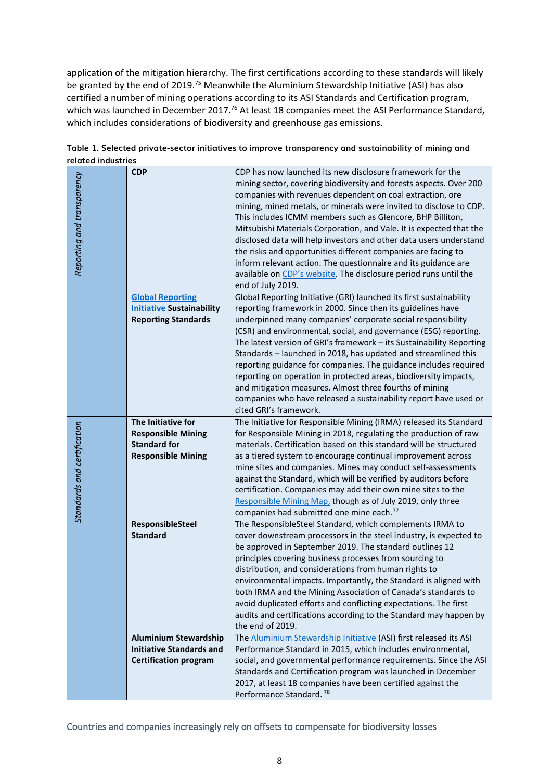application of the mitigation hierarchy. The first certifications according to these standards will likely be granted by the end of 2019.<sup>75</sup> Meanwhile the Aluminium Stewardship Initiative (ASI) has also certified a number of mining operations according to its ASI Standards and Certification program, which was launched in December 2017.<sup>76</sup> At least 18 companies meet the ASI Performance Standard, which includes considerations of biodiversity and greenhouse gas emissions.

| naran manan                 |                                  |                                                                                                                                                                                                                                                                                                                                                                                                                                                                                                                                                                                                                                                                                                           |
|-----------------------------|----------------------------------|-----------------------------------------------------------------------------------------------------------------------------------------------------------------------------------------------------------------------------------------------------------------------------------------------------------------------------------------------------------------------------------------------------------------------------------------------------------------------------------------------------------------------------------------------------------------------------------------------------------------------------------------------------------------------------------------------------------|
| Reporting and transparency  | <b>CDP</b>                       | CDP has now launched its new disclosure framework for the<br>mining sector, covering biodiversity and forests aspects. Over 200<br>companies with revenues dependent on coal extraction, ore<br>mining, mined metals, or minerals were invited to disclose to CDP.<br>This includes ICMM members such as Glencore, BHP Billiton,<br>Mitsubishi Materials Corporation, and Vale. It is expected that the<br>disclosed data will help investors and other data users understand<br>the risks and opportunities different companies are facing to<br>inform relevant action. The questionnaire and its guidance are<br>available on CDP's website. The disclosure period runs until the<br>end of July 2019. |
|                             | <b>Global Reporting</b>          | Global Reporting Initiative (GRI) launched its first sustainability                                                                                                                                                                                                                                                                                                                                                                                                                                                                                                                                                                                                                                       |
|                             | <b>Initiative Sustainability</b> | reporting framework in 2000. Since then its guidelines have                                                                                                                                                                                                                                                                                                                                                                                                                                                                                                                                                                                                                                               |
|                             | <b>Reporting Standards</b>       | underpinned many companies' corporate social responsibility                                                                                                                                                                                                                                                                                                                                                                                                                                                                                                                                                                                                                                               |
|                             |                                  | (CSR) and environmental, social, and governance (ESG) reporting.<br>The latest version of GRI's framework - its Sustainability Reporting<br>Standards - launched in 2018, has updated and streamlined this<br>reporting guidance for companies. The guidance includes required<br>reporting on operation in protected areas, biodiversity impacts,<br>and mitigation measures. Almost three fourths of mining<br>companies who have released a sustainability report have used or<br>cited GRI's framework.                                                                                                                                                                                               |
|                             | The Initiative for               | The Initiative for Responsible Mining (IRMA) released its Standard                                                                                                                                                                                                                                                                                                                                                                                                                                                                                                                                                                                                                                        |
|                             | <b>Responsible Mining</b>        | for Responsible Mining in 2018, regulating the production of raw                                                                                                                                                                                                                                                                                                                                                                                                                                                                                                                                                                                                                                          |
|                             | <b>Standard for</b>              | materials. Certification based on this standard will be structured                                                                                                                                                                                                                                                                                                                                                                                                                                                                                                                                                                                                                                        |
|                             | <b>Responsible Mining</b>        | as a tiered system to encourage continual improvement across                                                                                                                                                                                                                                                                                                                                                                                                                                                                                                                                                                                                                                              |
|                             |                                  | mine sites and companies. Mines may conduct self-assessments                                                                                                                                                                                                                                                                                                                                                                                                                                                                                                                                                                                                                                              |
|                             |                                  | against the Standard, which will be verified by auditors before                                                                                                                                                                                                                                                                                                                                                                                                                                                                                                                                                                                                                                           |
| Standards and certification |                                  | certification. Companies may add their own mine sites to the                                                                                                                                                                                                                                                                                                                                                                                                                                                                                                                                                                                                                                              |
|                             |                                  | Responsible Mining Map, though as of July 2019, only three                                                                                                                                                                                                                                                                                                                                                                                                                                                                                                                                                                                                                                                |
|                             |                                  | companies had submitted one mine each. <sup>77</sup>                                                                                                                                                                                                                                                                                                                                                                                                                                                                                                                                                                                                                                                      |
|                             | ResponsibleSteel                 | The ResponsibleSteel Standard, which complements IRMA to                                                                                                                                                                                                                                                                                                                                                                                                                                                                                                                                                                                                                                                  |
|                             | <b>Standard</b>                  | cover downstream processors in the steel industry, is expected to                                                                                                                                                                                                                                                                                                                                                                                                                                                                                                                                                                                                                                         |
|                             |                                  | be approved in September 2019. The standard outlines 12                                                                                                                                                                                                                                                                                                                                                                                                                                                                                                                                                                                                                                                   |
|                             |                                  | principles covering business processes from sourcing to                                                                                                                                                                                                                                                                                                                                                                                                                                                                                                                                                                                                                                                   |
|                             |                                  | distribution, and considerations from human rights to                                                                                                                                                                                                                                                                                                                                                                                                                                                                                                                                                                                                                                                     |
|                             |                                  | environmental impacts. Importantly, the Standard is aligned with                                                                                                                                                                                                                                                                                                                                                                                                                                                                                                                                                                                                                                          |
|                             |                                  | both IRMA and the Mining Association of Canada's standards to<br>avoid duplicated efforts and conflicting expectations. The first                                                                                                                                                                                                                                                                                                                                                                                                                                                                                                                                                                         |
|                             |                                  | audits and certifications according to the Standard may happen by                                                                                                                                                                                                                                                                                                                                                                                                                                                                                                                                                                                                                                         |
|                             |                                  | the end of 2019.                                                                                                                                                                                                                                                                                                                                                                                                                                                                                                                                                                                                                                                                                          |
|                             | <b>Aluminium Stewardship</b>     | The Aluminium Stewardship Initiative (ASI) first released its ASI                                                                                                                                                                                                                                                                                                                                                                                                                                                                                                                                                                                                                                         |
|                             | <b>Initiative Standards and</b>  | Performance Standard in 2015, which includes environmental,                                                                                                                                                                                                                                                                                                                                                                                                                                                                                                                                                                                                                                               |
|                             | <b>Certification program</b>     | social, and governmental performance requirements. Since the ASI                                                                                                                                                                                                                                                                                                                                                                                                                                                                                                                                                                                                                                          |
|                             |                                  | Standards and Certification program was launched in December                                                                                                                                                                                                                                                                                                                                                                                                                                                                                                                                                                                                                                              |
|                             |                                  | 2017, at least 18 companies have been certified against the                                                                                                                                                                                                                                                                                                                                                                                                                                                                                                                                                                                                                                               |
|                             |                                  | Performance Standard. <sup>78</sup>                                                                                                                                                                                                                                                                                                                                                                                                                                                                                                                                                                                                                                                                       |

#### **Table 1. Selected private-sector initiatives to improve transparency and sustainability of mining and related industries**

Countries and companies increasingly rely on offsets to compensate for biodiversity losses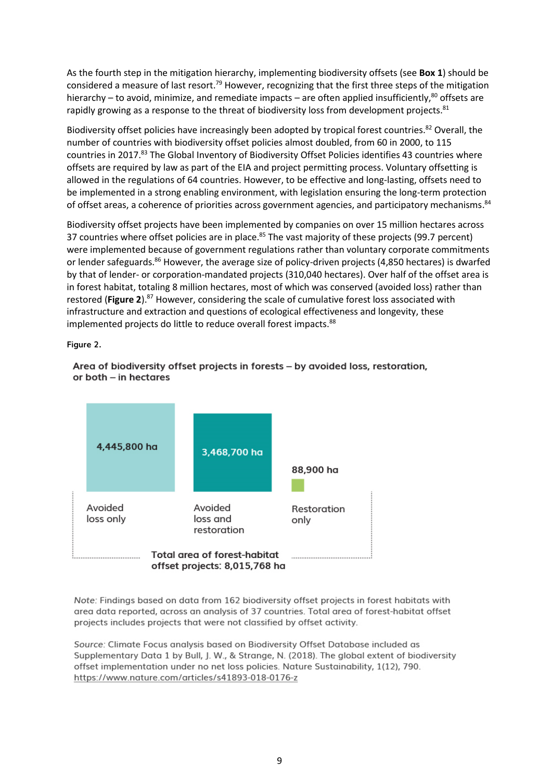As the fourth step in the mitigation hierarchy, implementing biodiversity offsets (see **Box 1**) should be considered a measure of last resort.<sup>79</sup> However, recognizing that the first three steps of the mitigation hierarchy – to avoid, minimize, and remediate impacts – are often applied insufficiently,<sup>80</sup> offsets are rapidly growing as a response to the threat of biodiversity loss from development projects.<sup>81</sup>

Biodiversity offset policies have increasingly been adopted by tropical forest countries.<sup>82</sup> Overall, the number of countries with biodiversity offset policies almost doubled, from 60 in 2000, to 115 countries in 2017.83 The [Global Inventory of Biodiversity Offset Policies](https://portals.iucn.org/offsetpolicy/) identifies 43 countries where offsets are required by law as part of the EIA and project permitting process. Voluntary offsetting is allowed in the regulations of 64 countries. However, to be effective and long-lasting, offsets need to be implemented in a strong enabling environment, with legislation ensuring the long-term protection of offset areas, a coherence of priorities across government agencies, and participatory mechanisms.<sup>84</sup>

Biodiversity offset projects have been implemented by companies on over 15 million hectares across 37 countries where offset policies are in place.<sup>85</sup> The vast majority of these projects (99.7 percent) were implemented because of government regulations rather than voluntary corporate commitments or lender safeguards.<sup>86</sup> However, the average size of policy-driven projects (4,850 hectares) is dwarfed by that of lender- or corporation-mandated projects (310,040 hectares). Over half of the offset area is in forest habitat, totaling 8 million hectares, most of which was conserved (avoided loss) rather than restored (Figure 2).<sup>87</sup> However, considering the scale of cumulative forest loss associated with infrastructure and extraction and questions of ecological effectiveness and longevity, these implemented projects do little to reduce overall forest impacts.<sup>88</sup>

**Figure 2.** 



Area of biodiversity offset projects in forests - by avoided loss, restoration, or both - in hectares

Note: Findings based on data from 162 biodiversity offset projects in forest habitats with area data reported, across an analysis of 37 countries. Total area of forest-habitat offset projects includes projects that were not classified by offset activity.

Source: Climate Focus analysis based on Biodiversity Offset Database included as Supplementary Data 1 by Bull, I. W., & Strange, N. (2018). The alobal extent of biodiversity offset implementation under no net loss policies. Nature Sustainability, 1(12), 790. https://www.nature.com/articles/s41893-018-0176-z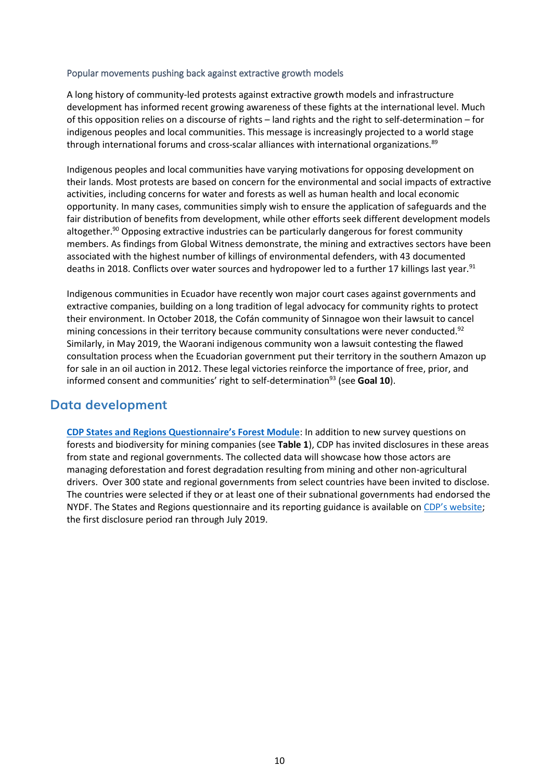#### Popular movements pushing back against extractive growth models

A long history of community-led protests against extractive growth models and infrastructure development has informed recent growing awareness of these fights at the international level. Much of this opposition relies on a discourse of rights – land rights and the right to self-determination – for indigenous peoples and local communities. This message is increasingly projected to a world stage through international forums and cross-scalar alliances with international organizations.<sup>89</sup>

Indigenous peoples and local communities have varying motivations for opposing development on their lands. Most protests are based on concern for the environmental and social impacts of extractive activities, including concerns for water and forests as well as human health and local economic opportunity. In many cases, communities simply wish to ensure the application of safeguards and the fair distribution of benefits from development, while other efforts seek different development models altogether.<sup>90</sup> Opposing extractive industries can be particularly dangerous for forest community members. As findings from Global Witness demonstrate, the mining and extractives sectors have been associated with the highest number of killings of environmental defenders, with 43 documented deaths in 2018. Conflicts over water sources and hydropower led to a further 17 killings last year.<sup>91</sup>

Indigenous communities in Ecuador have recently won major court cases against governments and extractive companies, building on a long tradition of legal advocacy for community rights to protect their environment. In October 2018, the Cofán community of Sinnagoe won their lawsuit to cancel mining concessions in their territory because community consultations were never conducted.<sup>92</sup> Similarly, in May 2019, the Waorani indigenous community won a lawsuit contesting the flawed consultation process when the Ecuadorian government put their territory in the southern Amazon up for sale in an oil auction in 2012. These legal victories reinforce the importance of free, prior, and informed consent and communities' right to self-determination<sup>93</sup> (see **Goal 10**).

# **Data development**

**CDP S[tates and Regions Questionnaire's Forest Module](https://guidance.cdp.net/en/guidance?ctype=theme&idtype=ThemeID&cid=12&otype=Questionnaire&incchild=1µsite=0&gettags=0)**: In addition to new survey questions on forests and biodiversity for mining companies (see **Table 1**), CDP has invited disclosures in these areas from state and regional governments. The collected data will showcase how those actors are managing deforestation and forest degradation resulting from mining and other non-agricultural drivers. Over 300 state and regional governments from select countries have been invited to disclose. The countries were selected if they or at least one of their subnational governments had endorsed the NYDF. The States and Regions questionnaire and its reporting guidance is available on [CDP's website](https://www.cdp.net/en/cities/states-and-regions#44e9d53857b1b395c1173648a5d98673); the first disclosure period ran through July 2019.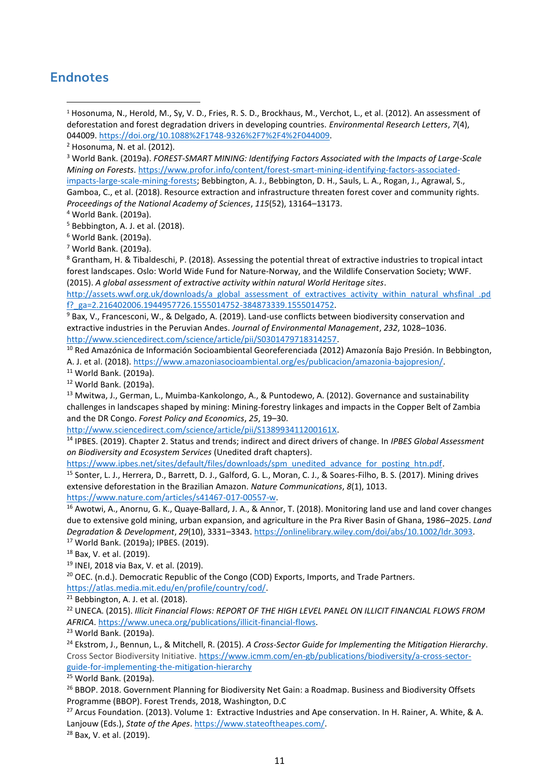# **Endnotes**

<sup>1</sup> Hosonuma, N., Herold, M., Sy, V. D., Fries, R. S. D., Brockhaus, M., Verchot, L., et al. (2012). An assessment of deforestation and forest degradation drivers in developing countries. *Environmental Research Letters*, *7*(4), 044009. [https://doi.org/10.1088%2F1748-9326%2F7%2F4%2F044009.](https://doi.org/10.1088%2F1748-9326%2F7%2F4%2F044009)

<sup>3</sup> World Bank. (2019a). *FOREST-SMART MINING: Identifying Factors Associated with the Impacts of Large-Scale Mining on Forests*. [https://www.profor.info/content/forest-smart-mining-identifying-factors-associated](https://www.profor.info/content/forest-smart-mining-identifying-factors-associated-impacts-large-scale-mining-forests)[impacts-large-scale-mining-forests;](https://www.profor.info/content/forest-smart-mining-identifying-factors-associated-impacts-large-scale-mining-forests) Bebbington, A. J., Bebbington, D. H., Sauls, L. A., Rogan, J., Agrawal, S.,

Gamboa, C., et al. (2018). Resource extraction and infrastructure threaten forest cover and community rights. *Proceedings of the National Academy of Sciences*, *115*(52), 13164–13173.

<sup>5</sup> Bebbington, A. J. et al. (2018).

<sup>6</sup> World Bank. (2019a).

<sup>7</sup> World Bank. (2019a).

<sup>8</sup> Grantham, H. & Tibaldeschi, P. (2018). Assessing the potential threat of extractive industries to tropical intact forest landscapes. Oslo: World Wide Fund for Nature-Norway, and the Wildlife Conservation Society; WWF. (2015). *A global assessment of extractive activity within natural World Heritage sites*.

[http://assets.wwf.org.uk/downloads/a\\_global\\_assessment\\_of\\_extractives\\_activity\\_within\\_natural\\_whsfinal\\_.pd](http://assets.wwf.org.uk/downloads/a_global_assessment_of_extractives_activity_within_natural_whsfinal_.pdf?_ga=2.216402006.1944957726.1555014752-384873339.1555014752) [f?\\_ga=2.216402006.1944957726.1555014752-384873339.1555014752.](http://assets.wwf.org.uk/downloads/a_global_assessment_of_extractives_activity_within_natural_whsfinal_.pdf?_ga=2.216402006.1944957726.1555014752-384873339.1555014752)

<sup>9</sup> Bax, V., Francesconi, W., & Delgado, A. (2019). Land-use conflicts between biodiversity conservation and extractive industries in the Peruvian Andes. *Journal of Environmental Management*, *232*, 1028–1036. [http://www.sciencedirect.com/science/article/pii/S0301479718314257.](http://www.sciencedirect.com/science/article/pii/S0301479718314257)

<sup>10</sup> Red Amazónica de Información Socioambiental Georeferenciada (2012) Amazonía Bajo Presión. In Bebbington, A. J. et al. (2018). [https://www.amazoniasocioambiental.org/es/publicacion/amazonia-bajopresion/.](https://www.amazoniasocioambiental.org/es/publicacion/amazonia-bajopresion/)

<sup>11</sup> World Bank. (2019a).

<sup>12</sup> World Bank. (2019a).

<sup>13</sup> Mwitwa, J., German, L., Muimba-Kankolongo, A., & Puntodewo, A. (2012). Governance and sustainability challenges in landscapes shaped by mining: Mining-forestry linkages and impacts in the Copper Belt of Zambia and the DR Congo. *Forest Policy and Economics*, *25*, 19–30.

[http://www.sciencedirect.com/science/article/pii/S138993411200161X.](http://www.sciencedirect.com/science/article/pii/S138993411200161X)

<sup>14</sup> IPBES. (2019). Chapter 2. Status and trends; indirect and direct drivers of change. In *IPBES Global Assessment on Biodiversity and Ecosystem Services* (Unedited draft chapters).

[https://www.ipbes.net/sites/default/files/downloads/spm\\_unedited\\_advance\\_for\\_posting\\_htn.pdf.](https://www.ipbes.net/sites/default/files/downloads/spm_unedited_advance_for_posting_htn.pdf)

<sup>15</sup> Sonter, L. J., Herrera, D., Barrett, D. J., Galford, G. L., Moran, C. J., & Soares-Filho, B. S. (2017). Mining drives extensive deforestation in the Brazilian Amazon. *Nature Communications*, *8*(1), 1013.

[https://www.nature.com/articles/s41467-017-00557-w.](https://www.nature.com/articles/s41467-017-00557-w)

<sup>16</sup> Awotwi, A., Anornu, G. K., Quaye‐Ballard, J. A., & Annor, T. (2018). Monitoring land use and land cover changes due to extensive gold mining, urban expansion, and agriculture in the Pra River Basin of Ghana, 1986–2025. *Land Degradation & Development*, *29*(10), 3331–3343. [https://onlinelibrary.wiley.com/doi/abs/10.1002/ldr.3093.](https://onlinelibrary.wiley.com/doi/abs/10.1002/ldr.3093) <sup>17</sup> World Bank. (2019a); IPBES. (2019).

<sup>18</sup> Bax, V. et al. (2019).

<sup>19</sup> INEI, 2018 via Bax, V. et al. (2019).

 $20$  OEC. (n.d.). Democratic Republic of the Congo (COD) Exports, Imports, and Trade Partners. [https://atlas.media.mit.edu/en/profile/country/cod/.](https://atlas.media.mit.edu/en/profile/country/cod/)

 $21$  Bebbington, A. J. et al. (2018).

<sup>22</sup> UNECA. (2015). *Illicit Financial Flows: REPORT OF THE HIGH LEVEL PANEL ON ILLICIT FINANCIAL FLOWS FROM AFRICA*. [https://www.uneca.org/publications/illicit-financial-flows.](https://www.uneca.org/publications/illicit-financial-flows)

<sup>23</sup> World Bank. (2019a).

<sup>24</sup> Ekstrom, J., Bennun, L., & Mitchell, R. (2015). *A Cross-Sector Guide for Implementing the Mitigation Hierarchy*. Cross Sector Biodiversity Initiative. [https://www.icmm.com/en-gb/publications/biodiversity/a-cross-sector](https://www.icmm.com/en-gb/publications/biodiversity/a-cross-sector-guide-for-implementing-the-mitigation-hierarchy)[guide-for-implementing-the-mitigation-hierarchy](https://www.icmm.com/en-gb/publications/biodiversity/a-cross-sector-guide-for-implementing-the-mitigation-hierarchy)

<sup>25</sup> World Bank. (2019a).

<sup>26</sup> BBOP. 2018. Government Planning for Biodiversity Net Gain: a Roadmap. Business and Biodiversity Offsets Programme (BBOP). Forest Trends, 2018, Washington, D.C

<sup>27</sup> Arcus Foundation. (2013). Volume 1: Extractive Industries and Ape conservation. In H. Rainer, A. White, & A. Lanjouw (Eds.), *State of the Apes*[. https://www.stateoftheapes.com/.](https://www.stateoftheapes.com/)

<sup>28</sup> Bax, V. et al. (2019).

<sup>2</sup> Hosonuma, N. et al. (2012).

<sup>4</sup> World Bank. (2019a).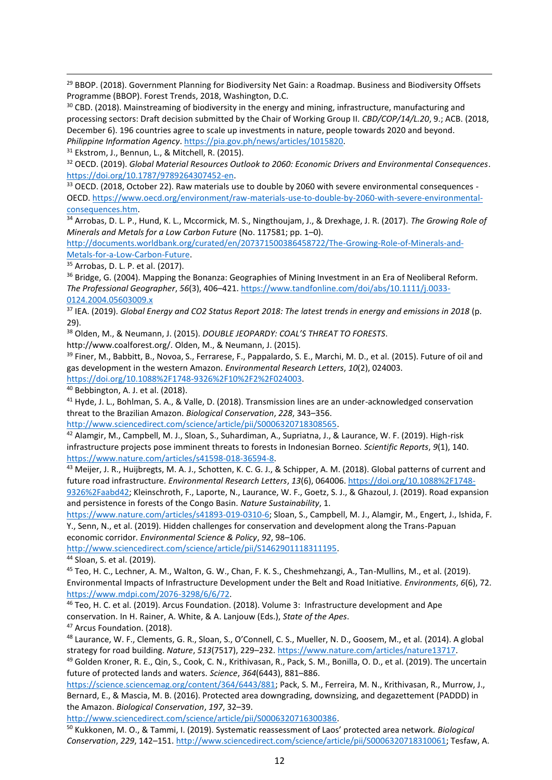<sup>29</sup> BBOP. (2018). Government Planning for Biodiversity Net Gain: a Roadmap. Business and Biodiversity Offsets Programme (BBOP). Forest Trends, 2018, Washington, D.C.

<sup>30</sup> CBD. (2018). Mainstreaming of biodiversity in the energy and mining, infrastructure, manufacturing and processing sectors: Draft decision submitted by the Chair of Working Group II. *CBD/COP/14/L.20*, 9.; ACB. (2018, December 6). 196 countries agree to scale up investments in nature, people towards 2020 and beyond. *Philippine Information Agency*[. https://pia.gov.ph/news/articles/1015820.](https://pia.gov.ph/news/articles/1015820)

<sup>31</sup> Ekstrom, J., Bennun, L., & Mitchell, R. (2015).

<sup>32</sup> OECD. (2019). *Global Material Resources Outlook to 2060: Economic Drivers and Environmental Consequences*. [https://doi.org/10.1787/9789264307452-en.](https://doi.org/10.1787/9789264307452-en)

<sup>33</sup> OECD. (2018, October 22). Raw materials use to double by 2060 with severe environmental consequences -OECD. [https://www.oecd.org/environment/raw-materials-use-to-double-by-2060-with-severe-environmental](https://www.oecd.org/environment/raw-materials-use-to-double-by-2060-with-severe-environmental-consequences.htm)[consequences.htm.](https://www.oecd.org/environment/raw-materials-use-to-double-by-2060-with-severe-environmental-consequences.htm)

<sup>34</sup> Arrobas, D. L. P., Hund, K. L., Mccormick, M. S., Ningthoujam, J., & Drexhage, J. R. (2017). *The Growing Role of Minerals and Metals for a Low Carbon Future* (No. 117581; pp. 1–0).

[http://documents.worldbank.org/curated/en/207371500386458722/The-Growing-Role-of-Minerals-and-](http://documents.worldbank.org/curated/en/207371500386458722/The-Growing-Role-of-Minerals-and-Metals-for-a-Low-Carbon-Future)[Metals-for-a-Low-Carbon-Future.](http://documents.worldbank.org/curated/en/207371500386458722/The-Growing-Role-of-Minerals-and-Metals-for-a-Low-Carbon-Future)

<sup>35</sup> Arrobas, D. L. P. et al. (2017).

36 Bridge, G. (2004). Mapping the Bonanza: Geographies of Mining Investment in an Era of Neoliberal Reform. *The Professional Geographer*, *56*(3), 406–421. [https://www.tandfonline.com/doi/abs/10.1111/j.0033-](https://www.tandfonline.com/doi/abs/10.1111/j.0033-0124.2004.05603009.x) [0124.2004.05603009.x](https://www.tandfonline.com/doi/abs/10.1111/j.0033-0124.2004.05603009.x)

<sup>37</sup> IEA. (2019). *Global Energy and CO2 Status Report 2018: The latest trends in energy and emissions in 2018* (p. 29).

<sup>38</sup> Olden, M., & Neumann, J. (2015). *DOUBLE JEOPARDY: COAL'S THREAT TO FORESTS*.

http://www.coalforest.org/. Olden, M., & Neumann, J. (2015).

<sup>39</sup> Finer, M., Babbitt, B., Novoa, S., Ferrarese, F., Pappalardo, S. E., Marchi, M. D., et al. (2015). Future of oil and gas development in the western Amazon. *Environmental Research Letters*, *10*(2), 024003. [https://doi.org/10.1088%2F1748-9326%2F10%2F2%2F024003.](https://doi.org/10.1088%2F1748-9326%2F10%2F2%2F024003)

<sup>40</sup> Bebbington, A. J. et al. (2018).

<sup>41</sup> Hyde, J. L., Bohlman, S. A., & Valle, D. (2018). Transmission lines are an under-acknowledged conservation threat to the Brazilian Amazon. *Biological Conservation*, *228*, 343–356.

[http://www.sciencedirect.com/science/article/pii/S0006320718308565.](http://www.sciencedirect.com/science/article/pii/S0006320718308565)

<sup>42</sup> Alamgir, M., Campbell, M. J., Sloan, S., Suhardiman, A., Supriatna, J., & Laurance, W. F. (2019). High-risk infrastructure projects pose imminent threats to forests in Indonesian Borneo. *Scientific Reports*, *9*(1), 140. [https://www.nature.com/articles/s41598-018-36594-8.](https://www.nature.com/articles/s41598-018-36594-8)

<sup>43</sup> Meijer, J. R., Huijbregts, M. A. J., Schotten, K. C. G. J., & Schipper, A. M. (2018). Global patterns of current and future road infrastructure. *Environmental Research Letters*, *13*(6), 064006. [https://doi.org/10.1088%2F1748-](https://doi.org/10.1088%2F1748-9326%2Faabd42) [9326%2Faabd42;](https://doi.org/10.1088%2F1748-9326%2Faabd42) Kleinschroth, F., Laporte, N., Laurance, W. F., Goetz, S. J., & Ghazoul, J. (2019). Road expansion and persistence in forests of the Congo Basin. *Nature Sustainability*, 1.

[https://www.nature.com/articles/s41893-019-0310-6;](https://www.nature.com/articles/s41893-019-0310-6) Sloan, S., Campbell, M. J., Alamgir, M., Engert, J., Ishida, F. Y., Senn, N., et al. (2019). Hidden challenges for conservation and development along the Trans-Papuan economic corridor. *Environmental Science & Policy*, *92*, 98–106.

[http://www.sciencedirect.com/science/article/pii/S1462901118311195.](http://www.sciencedirect.com/science/article/pii/S1462901118311195)

<sup>44</sup> Sloan, S. et al. (2019).

<sup>45</sup> Teo, H. C., Lechner, A. M., Walton, G. W., Chan, F. K. S., Cheshmehzangi, A., Tan-Mullins, M., et al. (2019). Environmental Impacts of Infrastructure Development under the Belt and Road Initiative. *Environments*, *6*(6), 72. [https://www.mdpi.com/2076-3298/6/6/72.](https://www.mdpi.com/2076-3298/6/6/72)

<sup>46</sup> Teo, H. C. et al. (2019). Arcus Foundation. (2018). Volume 3: Infrastructure development and Ape conservation. In H. Rainer, A. White, & A. Lanjouw (Eds.), *State of the Apes*.

<sup>47</sup> Arcus Foundation. (2018).

<sup>48</sup> Laurance, W. F., Clements, G. R., Sloan, S., O'Connell, C. S., Mueller, N. D., Goosem, M., et al. (2014). A global strategy for road building. *Nature*, *513*(7517), 229–232[. https://www.nature.com/articles/nature13717.](https://www.nature.com/articles/nature13717)

<sup>49</sup> Golden Kroner, R. E., Qin, S., Cook, C. N., Krithivasan, R., Pack, S. M., Bonilla, O. D., et al. (2019). The uncertain future of protected lands and waters. *Science*, *364*(6443), 881–886.

[https://science.sciencemag.org/content/364/6443/881;](https://science.sciencemag.org/content/364/6443/881) Pack, S. M., Ferreira, M. N., Krithivasan, R., Murrow, J., Bernard, E., & Mascia, M. B. (2016). Protected area downgrading, downsizing, and degazettement (PADDD) in the Amazon. *Biological Conservation*, *197*, 32–39.

[http://www.sciencedirect.com/science/article/pii/S0006320716300386.](http://www.sciencedirect.com/science/article/pii/S0006320716300386)

<sup>50</sup> Kukkonen, M. O., & Tammi, I. (2019). Systematic reassessment of Laos' protected area network. *Biological Conservation*, *229*, 142–151. [http://www.sciencedirect.com/science/article/pii/S0006320718310061;](http://www.sciencedirect.com/science/article/pii/S0006320718310061) Tesfaw, A.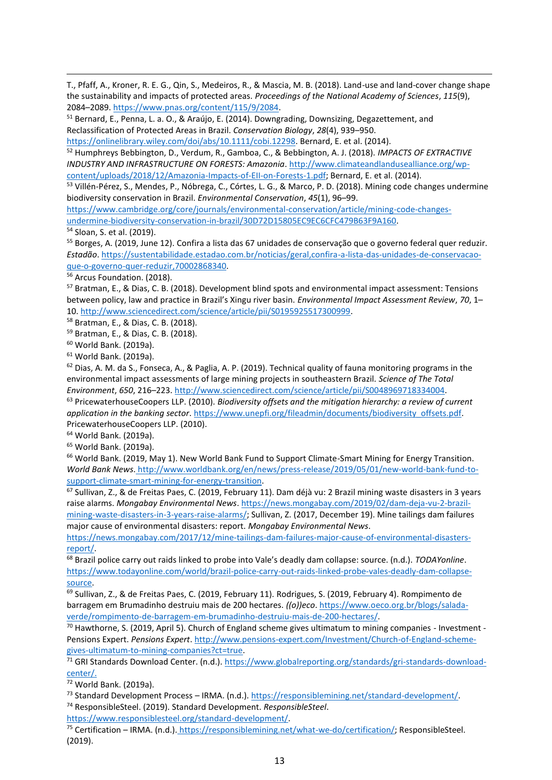T., Pfaff, A., Kroner, R. E. G., Qin, S., Medeiros, R., & Mascia, M. B. (2018). Land-use and land-cover change shape the sustainability and impacts of protected areas. *Proceedings of the National Academy of Sciences*, *115*(9), 2084–2089. [https://www.pnas.org/content/115/9/2084.](https://www.pnas.org/content/115/9/2084)

<sup>51</sup> Bernard, E., Penna, L. a. O., & Araújo, E. (2014). Downgrading, Downsizing, Degazettement, and Reclassification of Protected Areas in Brazil. *Conservation Biology*, *28*(4), 939–950.

[https://onlinelibrary.wiley.com/doi/abs/10.1111/cobi.12298.](https://onlinelibrary.wiley.com/doi/abs/10.1111/cobi.12298) Bernard, E. et al. (2014).

<sup>52</sup> Humphreys Bebbington, D., Verdum, R., Gamboa, C., & Bebbington, A. J. (2018). *IMPACTS OF EXTRACTIVE INDUSTRY AND INFRASTRUCTURE ON FORESTS: Amazonia*. [http://www.climateandlandusealliance.org/wp](http://www.climateandlandusealliance.org/wp-content/uploads/2018/12/Amazonia-Impacts-of-EII-on-Forests-1.pdf)[content/uploads/2018/12/Amazonia-Impacts-of-EII-on-Forests-1.pdf;](http://www.climateandlandusealliance.org/wp-content/uploads/2018/12/Amazonia-Impacts-of-EII-on-Forests-1.pdf) Bernard, E. et al. (2014).

<sup>53</sup> Villén-Pérez, S., Mendes, P., Nóbrega, C., Córtes, L. G., & Marco, P. D. (2018). Mining code changes undermine biodiversity conservation in Brazil. *Environmental Conservation*, *45*(1), 96–99.

[https://www.cambridge.org/core/journals/environmental-conservation/article/mining-code-changes](https://www.cambridge.org/core/journals/environmental-conservation/article/mining-code-changes-undermine-biodiversity-conservation-in-brazil/30D72D15805EC9EC6CFC479B63F9A160)[undermine-biodiversity-conservation-in-brazil/30D72D15805EC9EC6CFC479B63F9A160.](https://www.cambridge.org/core/journals/environmental-conservation/article/mining-code-changes-undermine-biodiversity-conservation-in-brazil/30D72D15805EC9EC6CFC479B63F9A160)

<sup>54</sup> Sloan, S. et al. (2019).

<sup>55</sup> Borges, A. (2019, June 12). Confira a lista das 67 unidades de conservação que o governo federal quer reduzir. *Estadão*[. https://sustentabilidade.estadao.com.br/noticias/geral,confira-a-lista-das-unidades-de-conservacao](https://sustentabilidade.estadao.com.br/noticias/geral,confira-a-lista-das-unidades-de-conservacao-que-o-governo-quer-reduzir,70002868340)[que-o-governo-quer-reduzir,70002868340.](https://sustentabilidade.estadao.com.br/noticias/geral,confira-a-lista-das-unidades-de-conservacao-que-o-governo-quer-reduzir,70002868340)

<sup>56</sup> Arcus Foundation. (2018).

<sup>57</sup> Bratman, E., & Dias, C. B. (2018). Development blind spots and environmental impact assessment: Tensions between policy, law and practice in Brazil's Xingu river basin. *Environmental Impact Assessment Review*, *70*, 1– 10. [http://www.sciencedirect.com/science/article/pii/S0195925517300999.](http://www.sciencedirect.com/science/article/pii/S0195925517300999)

<sup>58</sup> Bratman, E., & Dias, C. B. (2018).

<sup>59</sup> Bratman, E., & Dias, C. B. (2018).

<sup>60</sup> World Bank. (2019a).

<sup>61</sup> World Bank. (2019a).

 $62$  Dias, A. M. da S., Fonseca, A., & Paglia, A. P. (2019). Technical quality of fauna monitoring programs in the environmental impact assessments of large mining projects in southeastern Brazil. *Science of The Total Environment*, *650*, 216–223[. http://www.sciencedirect.com/science/article/pii/S0048969718334004.](http://www.sciencedirect.com/science/article/pii/S0048969718334004)

<sup>63</sup> PricewaterhouseCoopers LLP. (2010). *Biodiversity offsets and the mitigation hierarchy: a review of current application in the banking sector*. [https://www.unepfi.org/fileadmin/documents/biodiversity\\_offsets.pdf.](https://www.unepfi.org/fileadmin/documents/biodiversity_offsets.pdf) PricewaterhouseCoopers LLP. (2010).

<sup>64</sup> World Bank. (2019a).

<sup>65</sup> World Bank. (2019a).

<sup>66</sup> World Bank. (2019, May 1). New World Bank Fund to Support Climate-Smart Mining for Energy Transition. *World Bank News*. [http://www.worldbank.org/en/news/press-release/2019/05/01/new-world-bank-fund-to](http://www.worldbank.org/en/news/press-release/2019/05/01/new-world-bank-fund-to-support-climate-smart-mining-for-energy-transition)[support-climate-smart-mining-for-energy-transition.](http://www.worldbank.org/en/news/press-release/2019/05/01/new-world-bank-fund-to-support-climate-smart-mining-for-energy-transition)

<sup>67</sup> Sullivan, Z., & de Freitas Paes, C. (2019, February 11). Dam déjà vu: 2 Brazil mining waste disasters in 3 years raise alarms. *Mongabay Environmental News*[. https://news.mongabay.com/2019/02/dam-deja-vu-2-brazil](https://news.mongabay.com/2019/02/dam-deja-vu-2-brazil-mining-waste-disasters-in-3-years-raise-alarms/)[mining-waste-disasters-in-3-years-raise-alarms/;](https://news.mongabay.com/2019/02/dam-deja-vu-2-brazil-mining-waste-disasters-in-3-years-raise-alarms/) Sullivan, Z. (2017, December 19). Mine tailings dam failures

major cause of environmental disasters: report. *Mongabay Environmental News*. [https://news.mongabay.com/2017/12/mine-tailings-dam-failures-major-cause-of-environmental-disasters](https://news.mongabay.com/2017/12/mine-tailings-dam-failures-major-cause-of-environmental-disasters-report/)[report/.](https://news.mongabay.com/2017/12/mine-tailings-dam-failures-major-cause-of-environmental-disasters-report/)

<sup>68</sup> Brazil police carry out raids linked to probe into Vale's deadly dam collapse: source. (n.d.). *TODAYonline*. [https://www.todayonline.com/world/brazil-police-carry-out-raids-linked-probe-vales-deadly-dam-collapse](https://www.todayonline.com/world/brazil-police-carry-out-raids-linked-probe-vales-deadly-dam-collapse-source)[source.](https://www.todayonline.com/world/brazil-police-carry-out-raids-linked-probe-vales-deadly-dam-collapse-source)

<sup>69</sup> Sullivan, Z., & de Freitas Paes, C. (2019, February 11). Rodrigues, S. (2019, February 4). Rompimento de barragem em Brumadinho destruiu mais de 200 hectares. *((o))eco*[. https://www.oeco.org.br/blogs/salada](https://www.oeco.org.br/blogs/salada-verde/rompimento-de-barragem-em-brumadinho-destruiu-mais-de-200-hectares/)[verde/rompimento-de-barragem-em-brumadinho-destruiu-mais-de-200-hectares/.](https://www.oeco.org.br/blogs/salada-verde/rompimento-de-barragem-em-brumadinho-destruiu-mais-de-200-hectares/)

 $70$  Hawthorne, S. (2019, April 5). Church of England scheme gives ultimatum to mining companies - Investment -Pensions Expert. *Pensions Expert*. [http://www.pensions-expert.com/Investment/Church-of-England-scheme](http://www.pensions-expert.com/Investment/Church-of-England-scheme-gives-ultimatum-to-mining-companies?ct=true)[gives-ultimatum-to-mining-companies?ct=true.](http://www.pensions-expert.com/Investment/Church-of-England-scheme-gives-ultimatum-to-mining-companies?ct=true)

<sup>71</sup> GRI Standards Download Center. (n.d.). [https://www.globalreporting.org/standards/gri-standards-download](https://www.globalreporting.org/standards/gri-standards-download-center/)[center/.](https://www.globalreporting.org/standards/gri-standards-download-center/)

<sup>72</sup> World Bank. (2019a).

[https://www.responsiblesteel.org/standard-development/.](https://www.responsiblesteel.org/standard-development/)

<sup>75</sup> Certification – IRMA. (n.d.). [https://responsiblemining.net/what-we-do/certification/;](https://responsiblemining.net/what-we-do/certification/) ResponsibleSteel. (2019).

<sup>73</sup> Standard Development Process – IRMA. (n.d.). [https://responsiblemining.net/standard-development/.](https://responsiblemining.net/standard-development/) <sup>74</sup> ResponsibleSteel. (2019). Standard Development. *ResponsibleSteel*.